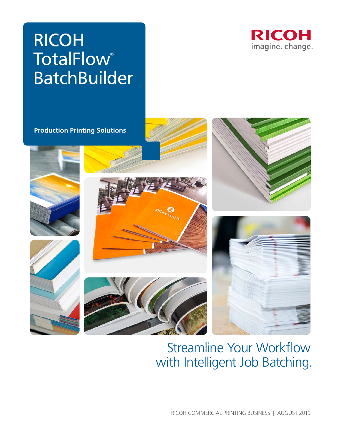# RICOH **TotalFlow**® BatchBuilder



**Production Printing Solutions**









# Streamline Your Workflow with Intelligent Job Batching.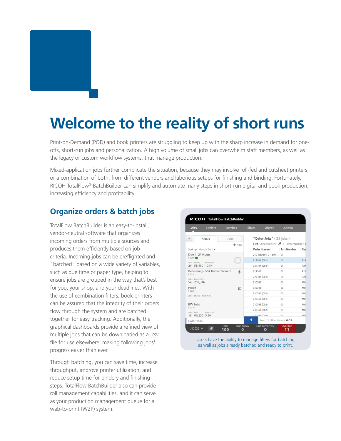# **Welcome to the reality of short runs**

Print-on-Demand (POD) and book printers are struggling to keep up with the sharp increase in demand for oneoffs, short-run jobs and personalization. A high volume of small jobs can overwhelm staff members, as well as the legacy or custom workflow systems, that manage production.

Mixed-application jobs further complicate the situation, because they may involve roll-fed and cutsheet printers, or a combination of both, from different vendors and laborious setups for finishing and binding. Fortunately, RICOH TotalFlow® BatchBuilder can simplify and automate many steps in short-run digital and book production, increasing efficiency and profitability.

#### **Organize orders & batch jobs**

TotalFlow BatchBuilder is an easy-to-install, vendor-neutral software that organizes incoming orders from multiple sources and produces them efficiently based on job criteria. Incoming jobs can be preflighted and "batched" based on a wide variety of variables, such as due time or paper type, helping to ensure jobs are grouped in the way that's best for you, your shop, and your deadlines. With the use of combination filters, book printers can be assured that the integrity of their orders flow through the system and are batched together for easy tracking. Additionally, the graphical dashboards provide a refined view of multiple jobs that can be downloaded as a .csv file for use elsewhere, making following jobs' progress easier than ever.

Through batching, you can save time, increase throughput, improve printer utilization, and reduce setup time for bindery and finishing steps. TotalFlow BatchBuilder also can provide roll management capabilities, and it can serve as your production management queue for a web-to-print (W2P) system.

| Jobs                                                                            | Orders | <b>Batches</b> | <b>Filters</b>                      | <b>Alerts</b>          | Admin       |                |  |
|---------------------------------------------------------------------------------|--------|----------------|-------------------------------------|------------------------|-------------|----------------|--|
| <b>Filters</b>                                                                  |        | Jobs           |                                     | "Color Jobs" (33 jobs) |             |                |  |
|                                                                                 |        | $+$ New        | Sort: Unnamed sort   Order Number 3 |                        |             |                |  |
| Sort by: Manual Sort ¥                                                          |        |                |                                     | <b>Order Number</b>    | Part Number | Cus            |  |
| Due in 24 Hours                                                                 |        |                | 250 860844 01 6x9  01               |                        |             |                |  |
| F-0009<br>Jobs Sheets Run (hom)                                                 |        |                |                                     | 727701 (002)           | 01          | <b>R24</b>     |  |
| 20 55,489 10:54                                                                 |        |                |                                     | 727701 (003)           | 01          | R24            |  |
| Publishing - 50# Perfect Bound<br>悆<br>F-0016<br>Jobs Impressions<br>54 218,346 |        |                | 727701                              |                        | 01          | R24            |  |
|                                                                                 |        |                |                                     | 727701 (001)           | 01          | R24            |  |
|                                                                                 |        |                | 730366                              |                        | 01          | M <sub>O</sub> |  |
| Proof                                                                           | e      |                |                                     | 730366                 | 03          | MO             |  |
| F-0020<br>Jobs Sheets Run (h:m)                                                 |        |                | 730366 (001)                        |                        | 01          | MO             |  |
|                                                                                 |        |                |                                     | 730366 (001)           | 03          | MO             |  |
| <b>BW Jobs</b><br>F-0010<br>Jobs Feet Run (h:m)<br>19 80,256 5:30               |        |                |                                     | 730366 (002)           | 01          | MO             |  |
|                                                                                 |        |                | 730366 (002)                        |                        | 03          | MO             |  |
|                                                                                 |        |                |                                     | 730366 (003)           | 01          | MO             |  |
| Color Jobs                                                                      |        |                | Feet: 1   Run (h:m): 0:05           |                        |             |                |  |

Users have the ability to manage filters for batching as well as jobs already batched and ready to print.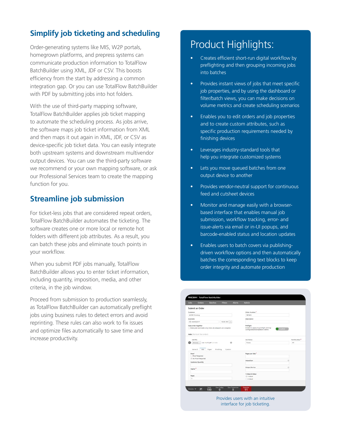## **Simplify job ticketing and scheduling**

Order-generating systems like MIS, W2P portals, homegrown platforms, and prepress systems can communicate production information to TotalFlow BatchBuilder using XML, JDF or CSV. This boosts efficiency from the start by addressing a common integration gap. Or you can use TotalFlow BatchBuilder with PDF by submitting jobs into hot folders.

With the use of third-party mapping software, TotalFlow BatchBuilder applies job ticket mapping to automate the scheduling process. As jobs arrive, the software maps job ticket information from XML and then maps it out again in XML, JDF, or CSV as device-specific job ticket data. You can easily integrate both upstream systems and downstream multivendor output devices. You can use the third-party software we recommend or your own mapping software, or ask our Professional Services team to create the mapping function for you.

### **Streamline job submission**

For ticket-less jobs that are considered repeat orders, TotalFlow BatchBuilder automates the ticketing. The software creates one or more local or remote hot folders with different job attributes. As a result, you can batch these jobs and eliminate touch points in your workflow.

When you submit PDF jobs manually, TotalFlow BatchBuilder allows you to enter ticket information, including quantity, imposition, media, and other criteria, in the job window.

Proceed from submission to production seamlessly, as TotalFlow BatchBuilder can automatically preflight jobs using business rules to detect errors and avoid reprinting. These rules can also work to fix issues and optimize files automatically to save time and increase productivity.

## Product Highlights:

- Creates efficient short-run digital workflow by preflighting and then grouping incoming jobs into batches
- Provides instant views of jobs that meet specific job properties, and by using the dashboard or filter/batch views, you can make decisions on volume metrics and create scheduling scenarios
- Enables you to edit orders and job properties and to create custom attributes, such as specific production requirements needed by finishing devices
- Leverages industry-standard tools that help you integrate customized systems
- Lets you move queued batches from one output device to another
- Provides vendor-neutral support for continuous feed and cutsheet devices
- Monitor and manage easily with a browserbased interface that enables manual job submission, workflow tracking, error- and issue-alerts via email or in-UI popups, and barcode-enabled status and location updates
- Enables users to batch covers via publishingdriven workflow options and then automatically batches the corresponding text blocks to keep order integrity and automate production

|                             | <b>Orders</b>             | <b>Batches</b>                                            | <b>Filters</b>   | <b>Alerts</b> | <b>Admin</b>                                                               |                |                          |  |  |
|-----------------------------|---------------------------|-----------------------------------------------------------|------------------|---------------|----------------------------------------------------------------------------|----------------|--------------------------|--|--|
|                             | Submit an Order           |                                                           |                  |               |                                                                            |                |                          |  |  |
| Customer                    |                           |                                                           |                  |               | Order Number <sup>®</sup>                                                  |                |                          |  |  |
| <b>ACME Printing</b>        |                           |                                                           |                  |               | 987465<br>Description                                                      |                |                          |  |  |
| <b>Due Date</b>             |                           |                                                           |                  |               |                                                                            |                |                          |  |  |
| 22 03/09/2017<br>10:00 AM = |                           |                                                           |                  |               |                                                                            |                |                          |  |  |
|                             | Keep order together       |                                                           |                  |               | Preflight                                                                  |                |                          |  |  |
|                             |                           | Make jobs batchable only when all jobsiparts are complete |                  |               | Enable to apply any preflight settings<br>configured and enabled in Admin. | <b>Shabled</b> |                          |  |  |
|                             |                           |                                                           |                  |               |                                                                            |                |                          |  |  |
|                             | Jobs (Parts of the order) |                                                           |                  |               |                                                                            |                |                          |  |  |
| Job File                    |                           |                                                           |                  |               | Job Name                                                                   |                | Part Number <sup>®</sup> |  |  |
|                             | Browse.                   | rob 11x17.pdf (11 Mil)                                    | $\circ$          |               | Poster                                                                     |                | OT.                      |  |  |
|                             |                           |                                                           |                  |               |                                                                            |                |                          |  |  |
|                             | General<br>Job            | Paper                                                     | Finishing Custom |               |                                                                            |                |                          |  |  |
| Proof                       |                           |                                                           |                  |               | Pages per Side <sup>*</sup>                                                |                |                          |  |  |
|                             | Proof Required            |                                                           |                  |               |                                                                            |                |                          |  |  |
|                             | . No Proof Required       |                                                           |                  |               |                                                                            |                |                          |  |  |
|                             | Customer Quantity         |                                                           |                  |               | Imposition                                                                 | 53             |                          |  |  |
|                             |                           |                                                           |                  |               |                                                                            |                |                          |  |  |
|                             |                           |                                                           |                  |               | Output Device                                                              | E              |                          |  |  |
| Copies <sup>*</sup>         |                           |                                                           |                  |               |                                                                            |                |                          |  |  |
|                             |                           |                                                           |                  |               |                                                                            |                |                          |  |  |
| Pages                       |                           |                                                           |                  |               | 1-Sided/2-Sided<br>$n$ 1-Sided                                             |                |                          |  |  |

Provides users with an intuitive interface for job ticketing.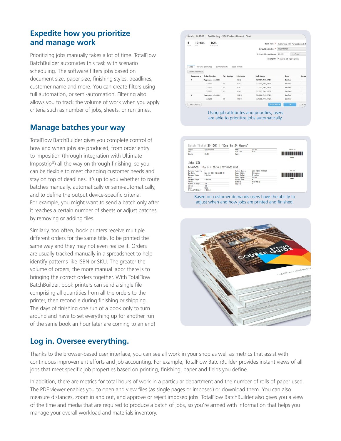#### **Expedite how you prioritize and manage work**

Prioritizing jobs manually takes a lot of time. TotalFlow BatchBuilder automates this task with scenario scheduling. The software filters jobs based on document size, paper size, finishing styles, deadlines, customer name and more. You can create filters using full automation, or semi-automation. Filtering also allows you to track the volume of work when you apply criteria such as number of jobs, sheets, or run times.

### **Manage batches your way**

TotalFlow BatchBuilder gives you complete control of how and when jobs are produced, from order entry to imposition (through integration with Ultimate Impostrip®) all the way on through finishing, so you can be flexible to meet changing customer needs and stay on top of deadlines. It's up to you whether to route batches manually, automatically or semi-automatically, and to define the output device-specific criteria. For example, you might want to send a batch only after it reaches a certain number of sheets or adjust batches by removing or adding files.

Similarly, too often, book printers receive multiple different orders for the same title, to be printed the same way and they may not even realize it. Orders are usually tracked manually in a spreadsheet to help identify patterns like ISBN or SKU. The greater the volume of orders, the more manual labor there is to bringing the correct orders together. With TotalFlow BatchBuilder, book printers can send a single file comprising all quantities from all the orders to the printer, then reconcile during finishing or shipping. The days of finishing one run of a book only to turn around and have to set everything up for another run of the same book an hour later are coming to an end!

#### Batch: B-1008 | Publishing - 50# Perfect Bound : Text 5 19,934  $1:24$ Batch Name<sup>\*</sup> Publishing - 508 Perfect Bo Output Destination \* RICOH 5000 Estimated Output Speed 20,000 Feethour Angregate C Enable Job Anno ce a Order N Job Name R242 727701\_TX1\_1.PD Aggregate Jol  $727701$  $R242$ 727701 TXL 1.PDF 727701 R242 727701\_TX1\_1.PDF  $72770$ .<br>R242 727701\_TX1\_1.PD Aggregate Job: ISBN MOHA 730366\_TX1\_1.PDF Batched 166\_TX1\_1.PD Delete Batch

Using job attributes and priorities, users are able to prioritize jobs automatically.



adjust when and how jobs are printed and finished.



## **Log in. Oversee everything.**

Thanks to the browser-based user interface, you can see all work in your shop as well as metrics that assist with continuous improvement efforts and job accounting. For example, TotalFlow BatchBuilder provides instant views of all jobs that meet specific job properties based on printing, finishing, paper and fields you define.

In addition, there are metrics for total hours of work in a particular department and the number of rolls of paper used. The PDF viewer enables you to open and view files (as single pages or imposed) or download them. You can also measure distances, zoom in and out, and approve or reject imposed jobs. TotalFlow BatchBuilder also gives you a view of the time and media that are required to produce a batch of jobs, so you're armed with information that helps you manage your overall workload and materials inventory.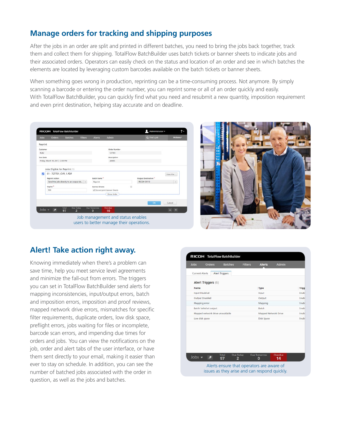## **Manage orders for tracking and shipping purposes**

After the jobs in an order are split and printed in different batches, you need to bring the jobs back together, track them and collect them for shipping. TotalFlow BatchBuilder uses batch tickets or banner sheets to indicate jobs and their associated orders. Operators can easily check on the status and location of an order and see in which batches the elements are located by leveraging custom barcodes available on the batch tickets or banner sheets.

When something goes wrong in production, reprinting can be a time-consuming process. Not anymore. By simply scanning a barcode or entering the order number, you can reprint some or all of an order quickly and easily. With TotalFlow BatchBuilder, you can quickly find what you need and resubmit a new quantity, imposition requirement and even print destination, helping stay accurate and on deadline.

| <b>Jobs</b>    | <b>Orders</b>                                       | <b>Batches</b>                         | <b>Filters</b> | <b>Alerts</b>                                              | <b>Admin</b>                             |    | Q Find a job                        | Actions *                        |  |
|----------------|-----------------------------------------------------|----------------------------------------|----------------|------------------------------------------------------------|------------------------------------------|----|-------------------------------------|----------------------------------|--|
| Reprint        |                                                     |                                        |                |                                                            |                                          |    |                                     |                                  |  |
| Customer       |                                                     |                                        |                |                                                            | Order Number                             |    |                                     |                                  |  |
| R242           |                                                     |                                        |                |                                                            | 727701                                   |    |                                     |                                  |  |
| Due Date       |                                                     |                                        |                |                                                            | Description                              |    |                                     |                                  |  |
|                | Friday, March 10, 2017, 12:00 PM                    |                                        |                |                                                            | <b>JAMES</b>                             |    |                                     |                                  |  |
|                | <b>Reprint Action</b><br>Copies <sup>*</sup><br>900 | Send the jobs directly to an output de |                | Batch Name <sup>®</sup><br>Reprint<br><b>Banner Sheets</b> | Do not print Banner Sheets<br>Show Order | 12 | Output Destination "<br>RICOH C9110 | $\sim$                           |  |
| $Jobs$ $\star$ | ø                                                   | Due Today<br>Total<br>97<br>2          |                | <b>Due Tomorrow</b><br>$\bf{0}$                            | Overdue<br>10                            |    | OK                                  | Cancel<br>$\mathbf{x}$<br>$\sim$ |  |



#### **Alert! Take action right away.**

Knowing immediately when there's a problem can save time, help you meet service level agreements and minimize the fall-out from errors. The triggers you can set in TotalFlow BatchBuilder send alerts for mapping inconsistencies, input/output errors, batch and imposition errors, imposition and proof reviews, mapped network drive errors, mismatches for specific filter requirements, duplicate orders, low disk space, preflight errors, jobs waiting for files or incomplete, barcode scan errors, and impending due times for orders and jobs. You can view the notifications on the job, order and alert tabs of the user interface, or have them sent directly to your email, making it easier than ever to stay on schedule. In addition, you can see the number of batched jobs associated with the order in question, as well as the jobs and batches.

| Jobs                  | <b>Orders</b>                    | <b>Batches</b>        | <b>Filters</b> | <b>Alerts</b>        | <b>Admin</b> |              |
|-----------------------|----------------------------------|-----------------------|----------------|----------------------|--------------|--------------|
| <b>Current Alerts</b> |                                  | <b>Alert Triggers</b> |                |                      |              |              |
|                       | Alert Triggers (6)               |                       |                |                      |              |              |
| Name                  |                                  |                       |                | Type                 |              | <b>Trigg</b> |
|                       | <b>Input Disabled</b>            |                       |                | Input                |              | Enabl        |
|                       | Output Disabled                  |                       |                | Output               |              | Enabl        |
|                       | Mapping error                    |                       |                | Mapping              |              | Enabl        |
|                       | Batch failed at output           |                       |                | Batch                |              | Enabl        |
|                       | Mapped network drive unavailable |                       |                | Mapped Network Drive |              | Enabl        |
|                       | Low disk space                   |                       |                | Disk Space           |              | Enabl        |
|                       |                                  |                       |                |                      |              |              |
|                       |                                  | Due Today<br>Total    |                | <b>Due Tomorrow</b>  | Overdue      |              |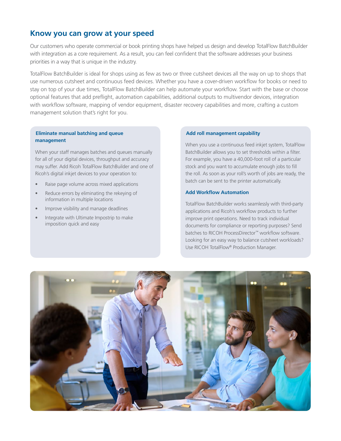#### **Know you can grow at your speed**

Our customers who operate commercial or book printing shops have helped us design and develop TotalFlow BatchBuilder with integration as a core requirement. As a result, you can feel confident that the software addresses your business priorities in a way that is unique in the industry.

TotalFlow BatchBuilder is ideal for shops using as few as two or three cutsheet devices all the way on up to shops that use numerous cutsheet and continuous feed devices. Whether you have a cover-driven workflow for books or need to stay on top of your due times, TotalFlow BatchBuilder can help automate your workflow. Start with the base or choose optional features that add preflight, automation capabilities, additional outputs to multivendor devices, integration with workflow software, mapping of vendor equipment, disaster recovery capabilities and more, crafting a custom management solution that's right for you.

#### **Eliminate manual batching and queue management**

When your staff manages batches and queues manually for all of your digital devices, throughput and accuracy may suffer. Add Ricoh TotalFlow BatchBuilder and one of Ricoh's digital inkjet devices to your operation to:

- Raise page volume across mixed applications
- Reduce errors by eliminating the rekeying of information in multiple locations
- Improve visibility and manage deadlines
- Integrate with Ultimate Impostrip to make imposition quick and easy

#### **Add roll management capability**

When you use a continuous feed inkjet system, TotalFlow BatchBuilder allows you to set thresholds within a filter. For example, you have a 40,000-foot roll of a particular stock and you want to accumulate enough jobs to fill the roll. As soon as your roll's worth of jobs are ready, the batch can be sent to the printer automatically.

#### **Add Workflow Automation**

TotalFlow BatchBuilder works seamlessly with third-party applications and Ricoh's workflow products to further improve print operations. Need to track individual documents for compliance or reporting purposes? Send batches to RICOH ProcessDirector™ workflow software. Looking for an easy way to balance cutsheet workloads? Use RICOH TotalFlow® Production Manager.

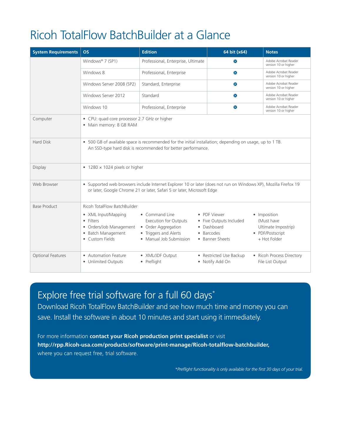# Ricoh TotalFlow BatchBuilder at a Glance

| <b>System Requirements</b> | <b>OS</b>                                                                                                                                                                                 | <b>Edition</b>                                                                                                            | 64 bit (x64)                                                                            | <b>Notes</b>                                                                          |  |  |  |  |
|----------------------------|-------------------------------------------------------------------------------------------------------------------------------------------------------------------------------------------|---------------------------------------------------------------------------------------------------------------------------|-----------------------------------------------------------------------------------------|---------------------------------------------------------------------------------------|--|--|--|--|
|                            | Windows® 7 (SP1)                                                                                                                                                                          | Professional, Enterprise, Ultimate                                                                                        | $\infty$                                                                                | Adobe Acrobat Reader<br>version 10 or higher                                          |  |  |  |  |
|                            | Windows 8                                                                                                                                                                                 | Professional, Enterprise                                                                                                  | $\infty$                                                                                | Adobe Acrobat Reader<br>version 10 or higher                                          |  |  |  |  |
|                            | Windows Server 2008 (SP2)                                                                                                                                                                 | Standard, Enterprise                                                                                                      | $\infty$                                                                                | Adobe Acrobat Reader<br>version 10 or higher                                          |  |  |  |  |
|                            | Windows Server 2012                                                                                                                                                                       | Standard                                                                                                                  | $\infty$                                                                                | Adobe Acrobat Reader<br>version 10 or higher                                          |  |  |  |  |
|                            | Windows 10                                                                                                                                                                                | Professional, Enterprise                                                                                                  | $\infty$                                                                                | Adobe Acrobat Reader<br>version 10 or higher                                          |  |  |  |  |
| Computer                   | • CPU: quad core processor 2.7 GHz or higher<br>• Main memory: 8 GB RAM                                                                                                                   |                                                                                                                           |                                                                                         |                                                                                       |  |  |  |  |
| <b>Hard Disk</b>           | • 500 GB of available space is recommended for the initial installation; depending on usage, up to 1 TB.<br>An SSD-type hard disk is recommended for better performance.                  |                                                                                                                           |                                                                                         |                                                                                       |  |  |  |  |
| <b>Display</b>             | • 1280 $\times$ 1024 pixels or higher                                                                                                                                                     |                                                                                                                           |                                                                                         |                                                                                       |  |  |  |  |
| Web Browser                | · Supported web browsers include Internet Explorer 10 or later (does not run on Windows XP), Mozilla Firefox 19<br>or later, Google Chrome 21 or later, Safari 5 or later, Microsoft Edge |                                                                                                                           |                                                                                         |                                                                                       |  |  |  |  |
| <b>Base Product</b>        | Ricoh TotalFlow BatchBuilder                                                                                                                                                              |                                                                                                                           |                                                                                         |                                                                                       |  |  |  |  |
|                            | • XML Input/Mapping<br>· Filters<br>• Orders/Job Management<br>• Batch Management<br>• Custom Fields                                                                                      | • Command Line<br><b>Execution for Outputs</b><br>• Order Aggregation<br>• Triggers and Alerts<br>• Manual Job Submission | • PDF Viewer<br>• Five Outputs Included<br>• Dashboard<br>• Barcodes<br>• Banner Sheets | • Imposition<br>(Must have<br>Ultimate Impostrip)<br>• PDF/Postscript<br>+ Hot Folder |  |  |  |  |
| Optional Features          | • Automation Feature<br>• Unlimited Outputs                                                                                                                                               | • XML/JDF Output<br>• Preflight                                                                                           | • Restricted Use Backup<br>• Notify Add On                                              | • Ricoh Process Directory<br>File List Output                                         |  |  |  |  |

## Explore free trial software for a full 60 days\*

Download Ricoh TotalFlow BatchBuilder and see how much time and money you can save. Install the software in about 10 minutes and start using it immediately.

For more information **contact your Ricoh production print specialist** or visit **http://rpp.Ricoh-usa.com/products/software/print-manage/Ricoh-totalflow-batchbuilder,** where you can request free, trial software.

*\*Preflight functionality is only available for the first 30 days of your trial.*